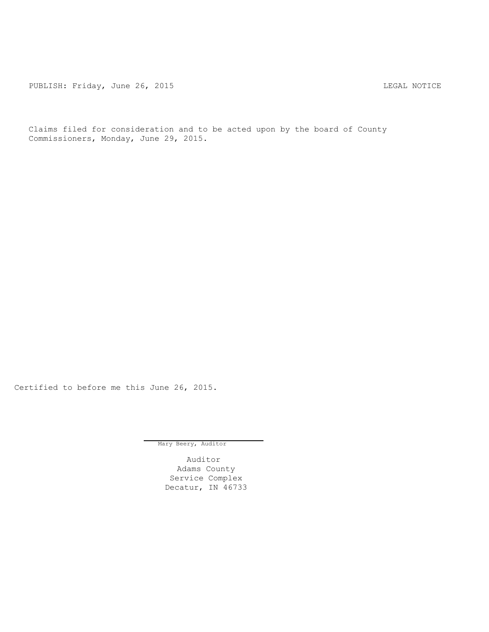PUBLISH: Friday, June 26, 2015 LEGAL NOTICE

Claims filed for consideration and to be acted upon by the board of County Commissioners, Monday, June 29, 2015.

Certified to before me this June 26, 2015.

Mary Beery, Auditor

Auditor Adams County Service Complex Decatur, IN 46733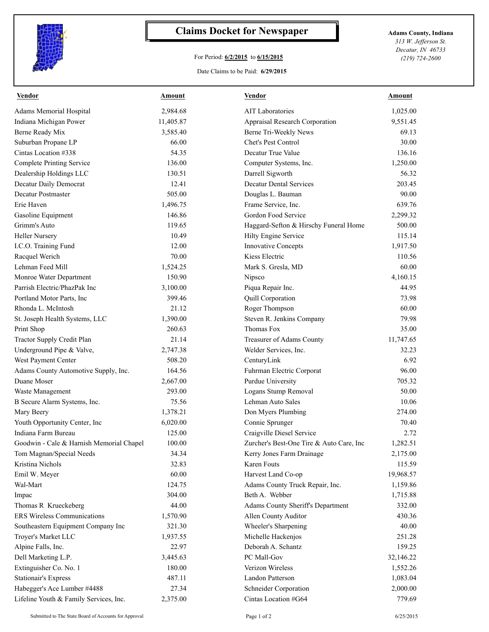

## **Claims Docket for Newspaper Adams County, Indiana**

## For Period: **6/2/2015** to **6/15/2015**

Date Claims to be Paid: **6/29/2015**

*313 W. Jefferson St. Decatur, IN 46733 (219) 724-2600*

| Vendor                                   | Amount    | <b>Vendor</b>                            | Amount    |
|------------------------------------------|-----------|------------------------------------------|-----------|
| <b>Adams Memorial Hospital</b>           | 2,984.68  | <b>AIT</b> Laboratories                  | 1,025.00  |
| Indiana Michigan Power                   | 11,405.87 | Appraisal Research Corporation           | 9,551.45  |
| Berne Ready Mix                          | 3,585.40  | Berne Tri-Weekly News                    | 69.13     |
| Suburban Propane LP                      | 66.00     | Chet's Pest Control                      | 30.00     |
| Cintas Location #338                     | 54.35     | Decatur True Value                       | 136.16    |
| <b>Complete Printing Service</b>         | 136.00    | Computer Systems, Inc.                   | 1,250.00  |
| Dealership Holdings LLC                  | 130.51    | Darrell Sigworth                         | 56.32     |
| Decatur Daily Democrat                   | 12.41     | <b>Decatur Dental Services</b>           | 203.45    |
| Decatur Postmaster                       | 505.00    | Douglas L. Bauman                        | 90.00     |
| Erie Haven                               | 1,496.75  | Frame Service, Inc.                      | 639.76    |
| Gasoline Equipment                       | 146.86    | Gordon Food Service                      | 2,299.32  |
| Grimm's Auto                             | 119.65    | Haggard-Sefton & Hirschy Funeral Home    | 500.00    |
| <b>Heller Nursery</b>                    | 10.49     | Hilty Engine Service                     | 115.14    |
| I.C.O. Training Fund                     | 12.00     | <b>Innovative Concepts</b>               | 1,917.50  |
| Racquel Werich                           | 70.00     | Kiess Electric                           | 110.56    |
| Lehman Feed Mill                         | 1,524.25  | Mark S. Gresla, MD                       | 60.00     |
| Monroe Water Department                  | 150.90    | Nipsco                                   | 4,160.15  |
| Parrish Electric/PhazPak Inc             | 3,100.00  | Piqua Repair Inc.                        | 44.95     |
| Portland Motor Parts, Inc                | 399.46    | Quill Corporation                        | 73.98     |
| Rhonda L. McIntosh                       | 21.12     | Roger Thompson                           | 60.00     |
| St. Joseph Health Systems, LLC           | 1,390.00  | Steven R. Jenkins Company                | 79.98     |
| Print Shop                               | 260.63    | Thomas Fox                               | 35.00     |
| Tractor Supply Credit Plan               | 21.14     | Treasurer of Adams County                | 11,747.65 |
| Underground Pipe & Valve,                | 2,747.38  | Welder Services, Inc.                    | 32.23     |
| West Payment Center                      | 508.20    | CenturyLink                              | 6.92      |
| Adams County Automotive Supply, Inc.     | 164.56    | Fuhrman Electric Corporat                | 96.00     |
| Duane Moser                              | 2,667.00  | Purdue University                        | 705.32    |
| Waste Management                         | 293.00    | Logans Stump Removal                     | 50.00     |
| B Secure Alarm Systems, Inc.             | 75.56     | Lehman Auto Sales                        | 10.06     |
| Mary Beery                               | 1,378.21  | Don Myers Plumbing                       | 274.00    |
| Youth Opportunity Center, Inc            | 6,020.00  | Connie Sprunger                          | 70.40     |
| Indiana Farm Bureau                      | 125.00    | Craigville Diesel Service                | 2.72      |
| Goodwin - Cale & Harnish Memorial Chapel | 100.00    | Zurcher's Best-One Tire & Auto Care, Inc | 1,282.51  |
| Tom Magnan/Special Needs                 | 34.34     | Kerry Jones Farm Drainage                | 2,175.00  |
| Kristina Nichols                         | 32.83     | Karen Fouts                              | 115.59    |
| Emil W. Meyer                            | 60.00     | Harvest Land Co-op                       | 19,968.57 |
| Wal-Mart                                 | 124.75    | Adams County Truck Repair, Inc.          | 1,159.86  |
| Impac                                    | 304.00    | Beth A. Webber                           | 1,715.88  |
| Thomas R Krueckeberg                     | 44.00     | Adams County Sheriff's Department        | 332.00    |
| <b>ERS Wireless Communications</b>       | 1,570.90  | Allen County Auditor                     | 430.36    |
| Southeastern Equipment Company Inc       | 321.30    | Wheeler's Sharpening                     | 40.00     |
| Troyer's Market LLC                      | 1,937.55  | Michelle Hackenjos                       | 251.28    |
| Alpine Falls, Inc.                       | 22.97     | Deborah A. Schantz                       | 159.25    |
| Dell Marketing L.P.                      | 3,445.63  | PC Mall-Gov                              | 32,146.22 |
| Extinguisher Co. No. 1                   | 180.00    | Verizon Wireless                         | 1,552.26  |
| <b>Stationair's Express</b>              | 487.11    | Landon Patterson                         | 1,083.04  |
| Habegger's Ace Lumber #4488              | 27.34     | Schneider Corporation                    | 2,000.00  |
| Lifeline Youth & Family Services, Inc.   | 2,375.00  | Cintas Location #G64                     | 779.69    |